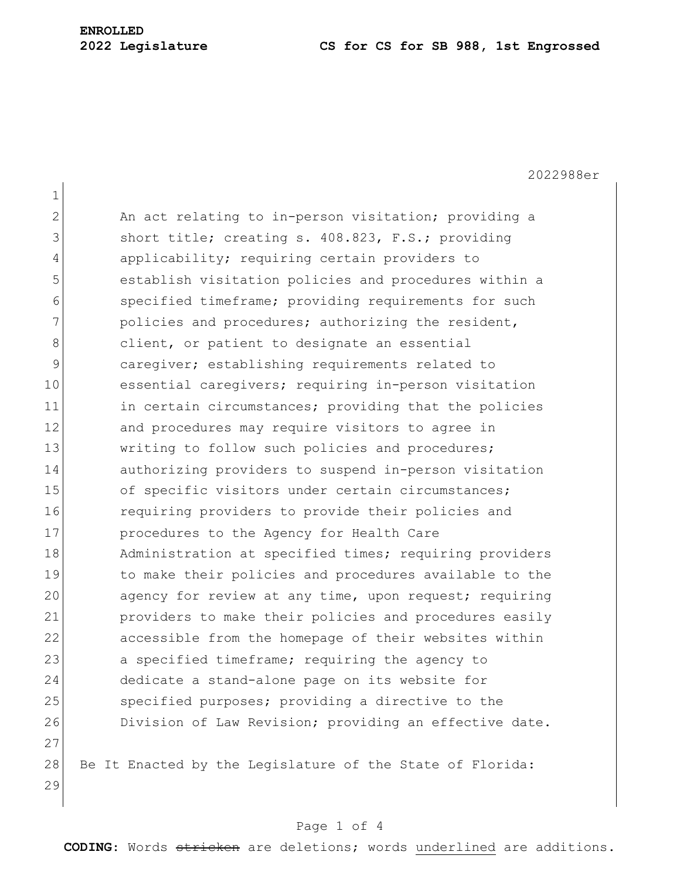2022988er 1 2 An act relating to in-person visitation; providing a 3 short title; creating s. 408.823, F.S.; providing 4 applicability; requiring certain providers to 5 establish visitation policies and procedures within a 6 specified timeframe; providing requirements for such 7 **policies and procedures; authorizing the resident,** 8 8 client, or patient to designate an essential 9 caregiver; establishing requirements related to 10 essential caregivers; requiring in-person visitation 11 in certain circumstances; providing that the policies 12 and procedures may require visitors to agree in 13 Writing to follow such policies and procedures; 14 authorizing providers to suspend in-person visitation 15 of specific visitors under certain circumstances; 16 **16** requiring providers to provide their policies and 17 **procedures to the Agency for Health Care** 18 Administration at specified times; requiring providers 19 to make their policies and procedures available to the 20 agency for review at any time, upon request; requiring 21 providers to make their policies and procedures easily 22 accessible from the homepage of their websites within 23 a specified timeframe; requiring the agency to 24 dedicate a stand-alone page on its website for 25 specified purposes; providing a directive to the 26 Division of Law Revision; providing an effective date. 27 28 Be It Enacted by the Legislature of the State of Florida: 29

## Page 1 of 4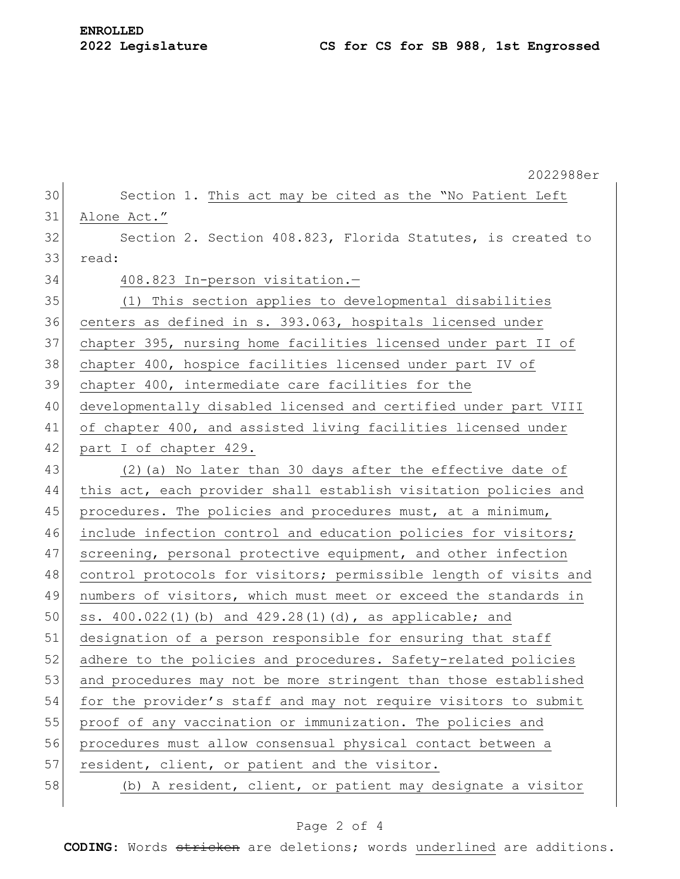|    | 2022988er                                                        |
|----|------------------------------------------------------------------|
| 30 | Section 1. This act may be cited as the "No Patient Left         |
| 31 | Alone Act."                                                      |
| 32 | Section 2. Section 408.823, Florida Statutes, is created to      |
| 33 | read:                                                            |
| 34 | 408.823 In-person visitation.-                                   |
| 35 | (1) This section applies to developmental disabilities           |
| 36 | centers as defined in s. 393.063, hospitals licensed under       |
| 37 | chapter 395, nursing home facilities licensed under part II of   |
| 38 | chapter 400, hospice facilities licensed under part IV of        |
| 39 | chapter 400, intermediate care facilities for the                |
| 40 | developmentally disabled licensed and certified under part VIII  |
| 41 | of chapter 400, and assisted living facilities licensed under    |
| 42 | part I of chapter 429.                                           |
| 43 | (2) (a) No later than 30 days after the effective date of        |
| 44 | this act, each provider shall establish visitation policies and  |
| 45 | procedures. The policies and procedures must, at a minimum,      |
| 46 | include infection control and education policies for visitors;   |
| 47 | screening, personal protective equipment, and other infection    |
| 48 | control protocols for visitors; permissible length of visits and |
| 49 | numbers of visitors, which must meet or exceed the standards in  |
| 50 | ss. 400.022(1)(b) and 429.28(1)(d), as applicable; and           |
| 51 | designation of a person responsible for ensuring that staff      |
| 52 | adhere to the policies and procedures. Safety-related policies   |
| 53 | and procedures may not be more stringent than those established  |
| 54 | for the provider's staff and may not require visitors to submit  |
| 55 | proof of any vaccination or immunization. The policies and       |
| 56 | procedures must allow consensual physical contact between a      |
| 57 | resident, client, or patient and the visitor.                    |
| 58 | (b) A resident, client, or patient may designate a visitor       |

## Page 2 of 4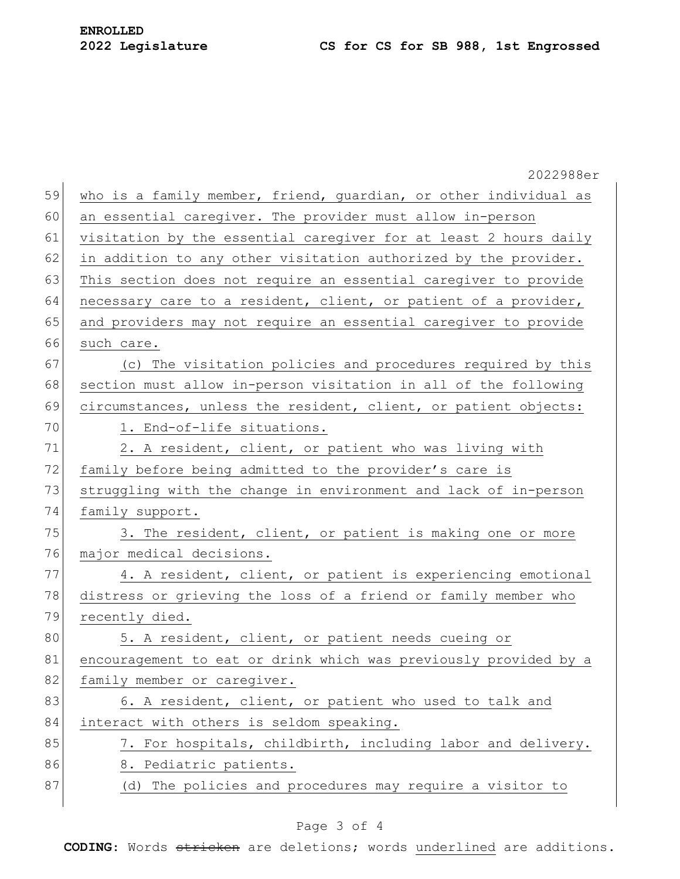|    | 2022988er                                                        |
|----|------------------------------------------------------------------|
| 59 | who is a family member, friend, guardian, or other individual as |
| 60 | an essential caregiver. The provider must allow in-person        |
| 61 | visitation by the essential caregiver for at least 2 hours daily |
| 62 | in addition to any other visitation authorized by the provider.  |
| 63 | This section does not require an essential careqiver to provide  |
| 64 | necessary care to a resident, client, or patient of a provider,  |
| 65 | and providers may not require an essential caregiver to provide  |
| 66 | such care.                                                       |
| 67 | (c) The visitation policies and procedures required by this      |
| 68 | section must allow in-person visitation in all of the following  |
| 69 | circumstances, unless the resident, client, or patient objects:  |
| 70 | 1. End-of-life situations.                                       |
| 71 | 2. A resident, client, or patient who was living with            |
| 72 | family before being admitted to the provider's care is           |
| 73 | struggling with the change in environment and lack of in-person  |
| 74 | family support.                                                  |
| 75 | 3. The resident, client, or patient is making one or more        |
| 76 | major medical decisions.                                         |
| 77 | 4. A resident, client, or patient is experiencing emotional      |
| 78 | distress or grieving the loss of a friend or family member who   |
| 79 | recently died.                                                   |
| 80 | 5. A resident, client, or patient needs cueing or                |
| 81 | encouragement to eat or drink which was previously provided by a |
| 82 | family member or caregiver.                                      |
| 83 | 6. A resident, client, or patient who used to talk and           |
| 84 | interact with others is seldom speaking.                         |
| 85 | 7. For hospitals, childbirth, including labor and delivery.      |
| 86 | 8. Pediatric patients.                                           |
| 87 | (d) The policies and procedures may require a visitor to         |
|    |                                                                  |

## Page 3 of 4